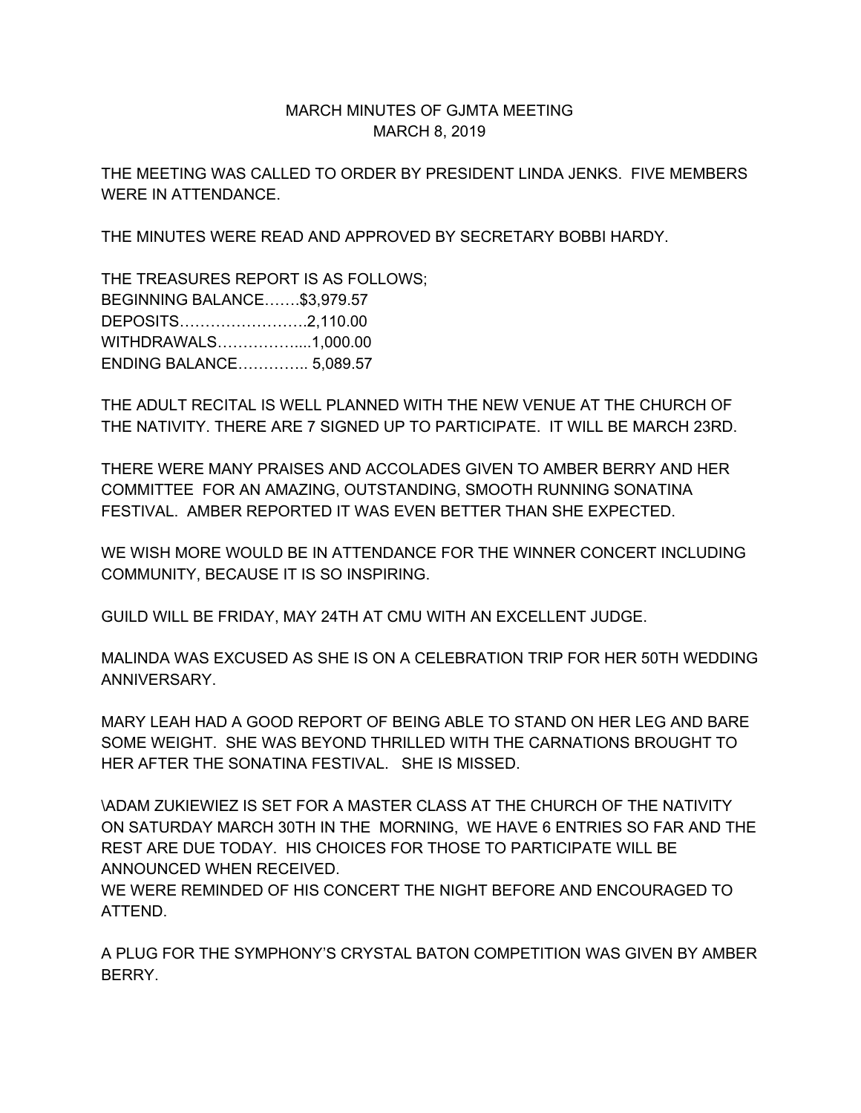## MARCH MINUTES OF GJMTA MEETING MARCH 8, 2019

THE MEETING WAS CALLED TO ORDER BY PRESIDENT LINDA JENKS. FIVE MEMBERS WERE IN ATTENDANCE.

THE MINUTES WERE READ AND APPROVED BY SECRETARY BOBBI HARDY.

THE TREASURES REPORT IS AS FOLLOWS; BEGINNING BALANCE…….\$3,979.57 DEPOSITS…………………….2,110.00 WITHDRAWALS……………....1,000.00 ENDING BALANCE………….. 5,089.57

THE ADULT RECITAL IS WELL PLANNED WITH THE NEW VENUE AT THE CHURCH OF THE NATIVITY. THERE ARE 7 SIGNED UP TO PARTICIPATE. IT WILL BE MARCH 23RD.

THERE WERE MANY PRAISES AND ACCOLADES GIVEN TO AMBER BERRY AND HER COMMITTEE FOR AN AMAZING, OUTSTANDING, SMOOTH RUNNING SONATINA FESTIVAL. AMBER REPORTED IT WAS EVEN BETTER THAN SHE EXPECTED.

WE WISH MORE WOULD BE IN ATTENDANCE FOR THE WINNER CONCERT INCLUDING COMMUNITY, BECAUSE IT IS SO INSPIRING.

GUILD WILL BE FRIDAY, MAY 24TH AT CMU WITH AN EXCELLENT JUDGE.

MALINDA WAS EXCUSED AS SHE IS ON A CELEBRATION TRIP FOR HER 50TH WEDDING ANNIVERSARY.

MARY LEAH HAD A GOOD REPORT OF BEING ABLE TO STAND ON HER LEG AND BARE SOME WEIGHT. SHE WAS BEYOND THRILLED WITH THE CARNATIONS BROUGHT TO HER AFTER THE SONATINA FESTIVAL. SHE IS MISSED.

\ADAM ZUKIEWIEZ IS SET FOR A MASTER CLASS AT THE CHURCH OF THE NATIVITY ON SATURDAY MARCH 30TH IN THE MORNING, WE HAVE 6 ENTRIES SO FAR AND THE REST ARE DUE TODAY. HIS CHOICES FOR THOSE TO PARTICIPATE WILL BE ANNOUNCED WHEN RECEIVED.

WE WERE REMINDED OF HIS CONCERT THE NIGHT BEFORE AND ENCOURAGED TO ATTEND.

A PLUG FOR THE SYMPHONY'S CRYSTAL BATON COMPETITION WAS GIVEN BY AMBER BERRY.